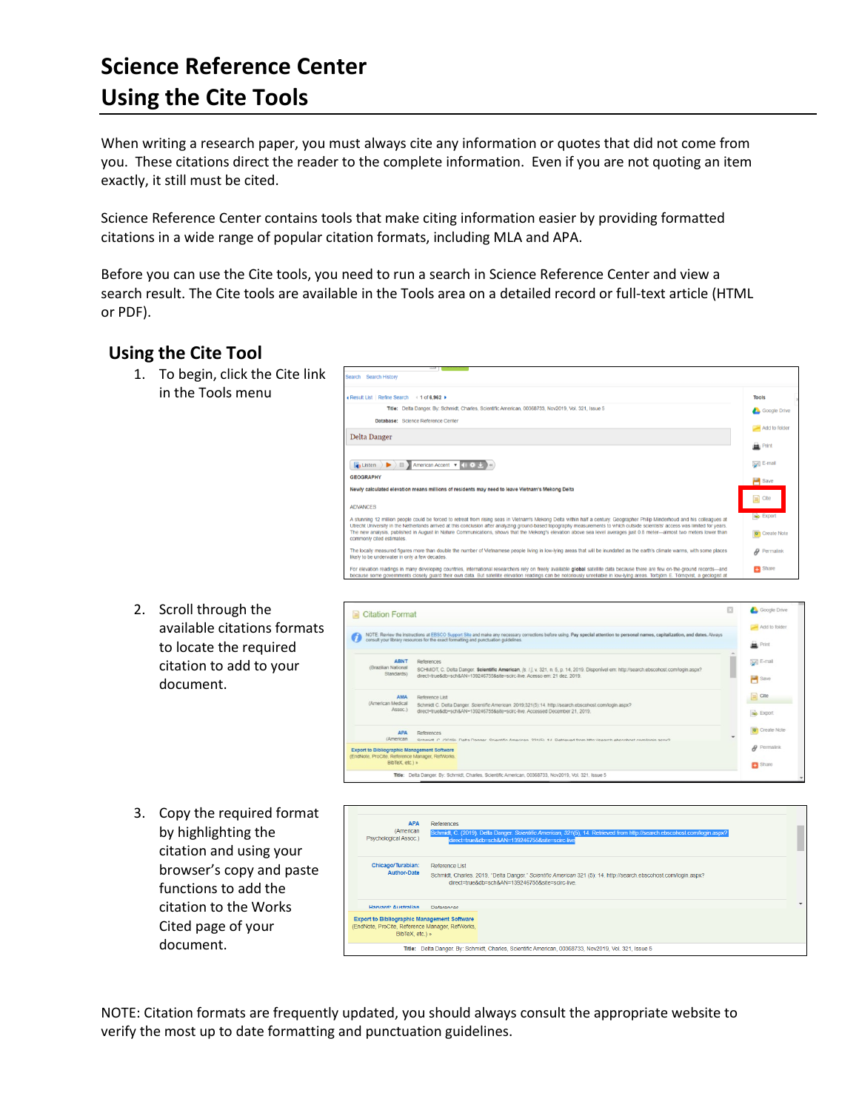## **Science Reference Center Using the Cite Tools**

When writing a research paper, you must always cite any information or quotes that did not come from you. These citations direct the reader to the complete information. Even if you are not quoting an item exactly, it still must be cited.

Science Reference Center contains tools that make citing information easier by providing formatted citations in a wide range of popular citation formats, including MLA and APA.

Result List | Refine Search 4 1 of 6,962 +

**Delta Danger** 

**GEOGRAPHY** 

Database: Science Reference Center

 $\boxed{\Box}$  Listen  $\Box$   $\Box$  American Accent  $\Box$   $\Box$   $\Diamond$ 

SCHMIDT, C. Delta Danger. Scientific Am

**APA** References

iographic Management Software nager, RefWork

Reference List<br>Schmidt C. Delta Danger. Scientific American. 2019;321(5):14. http://search.ebscoh<br>direct=true&db=sch&AN=139246755&site=scirc-live. Accessed December 21, 2019

Title: Delta Danger. By: Schmidt, Charles, Scientific American, 00368733, Nov2019, Vol. 321, Issue 5

Before you can use the Cite tools, you need to run a search in Science Reference Center and view a search result. The Cite tools are available in the Tools area on a detailed record or full-text article (HTML or PDF).

## **Using the Cite Tool**

1. To begin, click the Cite link in the Tools menu

|      | Newly calculated elevation means millions of residents may need to leave Vietnam's Mekong Delta                                                                                                                                                                                                                                                                                                                                                                                                                                                                         | $\sim$                                                 |
|------|-------------------------------------------------------------------------------------------------------------------------------------------------------------------------------------------------------------------------------------------------------------------------------------------------------------------------------------------------------------------------------------------------------------------------------------------------------------------------------------------------------------------------------------------------------------------------|--------------------------------------------------------|
|      | <b>ADVANCES</b>                                                                                                                                                                                                                                                                                                                                                                                                                                                                                                                                                         | $\equiv$ Cite                                          |
|      | A stunning 12 million people could be forced to retreat from rising seas in Vietnam's Mekong Delta within half a century. Geographer Philip Minderhoud and his colleagues at<br>Utrecht University in the Netherlands arrived at this conclusion after analyzing ground-based topography measurements to which outside scientists' access was limited for years.<br>The new analysis, published in August in Nature Communications, shows that the Mekong's elevation above sea level averages just 0.8 meter-almost two meters lower than<br>commonly cited estimates. | <b>Big Export</b><br><b>o</b> <sup>1</sup> Create Note |
|      | The locally measured figures more than double the number of Vietnamese people living in low-lying areas that will be inundated as the earth's climate warms, with some places<br>likely to be underwater in only a few decades.                                                                                                                                                                                                                                                                                                                                         | $\mathcal Q$ Permalink                                 |
|      | For elevation readings in many developing countries, international researchers rely on freely available global satellite data because there are few on-the-ground records-and<br>because some governments closely quard their own data. But satellite elevation readings can be notoriously unreliable in low-lying areas. Torbiom E. Tomgvist, a geologist at                                                                                                                                                                                                          | <b>B</b> Share                                         |
|      |                                                                                                                                                                                                                                                                                                                                                                                                                                                                                                                                                                         | Google Drive                                           |
| mats | Citation Format                                                                                                                                                                                                                                                                                                                                                                                                                                                                                                                                                         | Add to folder                                          |
|      | NOTE: Review the instructions at EBSCO Support Site and make any necessary corrections before using. Pay special attention to personal names, capitalization, and dates. Always<br>consult your library resources for the exact formatting and punctuation guidelines.                                                                                                                                                                                                                                                                                                  | <b>Print</b>                                           |

Title: Delta Danger. By: Schmidt, Charles, Scientific American, 00368733, Nov2019, Vol. 321, Issue 8

**Tools** 

Google Drive

Add to folder

**D** Print E-mail

 $\mathbf{u}$  save  $\Box$  Cite

**Sell** E-mail

 $H$  Save  $\Box$  Cite

**Bo** Export Create Note

 $\theta$  Permalink

Share

- 2. Scroll through the available citations form to locate the required citation to add to your document.
- 3. Copy the required format by highlighting the citation and using your browser's copy and paste functions to add the citation to the Works Cited page of your document.



NOTE: Citation formats are frequently updated, you should always consult the appropriate website to verify the most up to date formatting and punctuation guidelines.